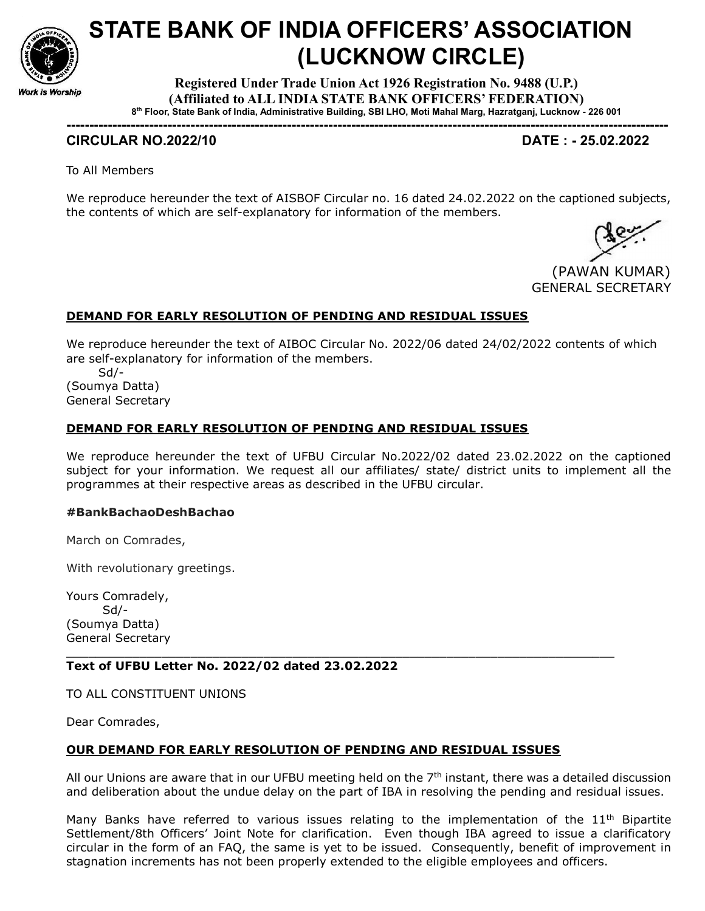

# STATE BANK OF INDIA OFFICERS' ASSOCIATION (LUCKNOW CIRCLE)

Registered Under Trade Union Act 1926 Registration No. 9488 (U.P.) (Affiliated to ALL INDIA STATE BANK OFFICERS' FEDERATION) 8 th Floor, State Bank of India, Administrative Building, SBI LHO, Moti Mahal Marg, Hazratganj, Lucknow - 226 001

-----------------------------------------------------------------------------------------------------------------------------------

## CIRCULAR NO.2022/10 DATE : - 25.02.2022

To All Members

We reproduce hereunder the text of AISBOF Circular no. 16 dated 24.02.2022 on the captioned subjects, the contents of which are self-explanatory for information of the members.

 (PAWAN KUMAR) GENERAL SECRETARY

### DEMAND FOR EARLY RESOLUTION OF PENDING AND RESIDUAL ISSUES

We reproduce hereunder the text of AIBOC Circular No. 2022/06 dated 24/02/2022 contents of which are self-explanatory for information of the members.

 Sd/- (Soumya Datta) General Secretary

#### DEMAND FOR EARLY RESOLUTION OF PENDING AND RESIDUAL ISSUES

We reproduce hereunder the text of UFBU Circular No.2022/02 dated 23.02.2022 on the captioned subject for your information. We request all our affiliates/ state/ district units to implement all the programmes at their respective areas as described in the UFBU circular.

#### #BankBachaoDeshBachao

March on Comrades,

With revolutionary greetings.

Yours Comradely, Sd/- (Soumya Datta) General Secretary

#### Text of UFBU Letter No. 2022/02 dated 23.02.2022

TO ALL CONSTITUENT UNIONS

Dear Comrades,

#### OUR DEMAND FOR EARLY RESOLUTION OF PENDING AND RESIDUAL ISSUES

\_\_\_\_\_\_\_\_\_\_\_\_\_\_\_\_\_\_\_\_\_\_\_\_\_\_\_\_\_\_\_\_\_\_\_\_\_\_\_\_\_\_\_\_\_\_\_\_\_\_\_\_\_\_\_\_\_\_\_\_\_\_\_\_\_\_\_\_\_\_\_\_\_\_\_

All our Unions are aware that in our UFBU meeting held on the  $7<sup>th</sup>$  instant, there was a detailed discussion and deliberation about the undue delay on the part of IBA in resolving the pending and residual issues.

Many Banks have referred to various issues relating to the implementation of the  $11<sup>th</sup>$  Bipartite Settlement/8th Officers' Joint Note for clarification. Even though IBA agreed to issue a clarificatory circular in the form of an FAQ, the same is yet to be issued. Consequently, benefit of improvement in stagnation increments has not been properly extended to the eligible employees and officers.